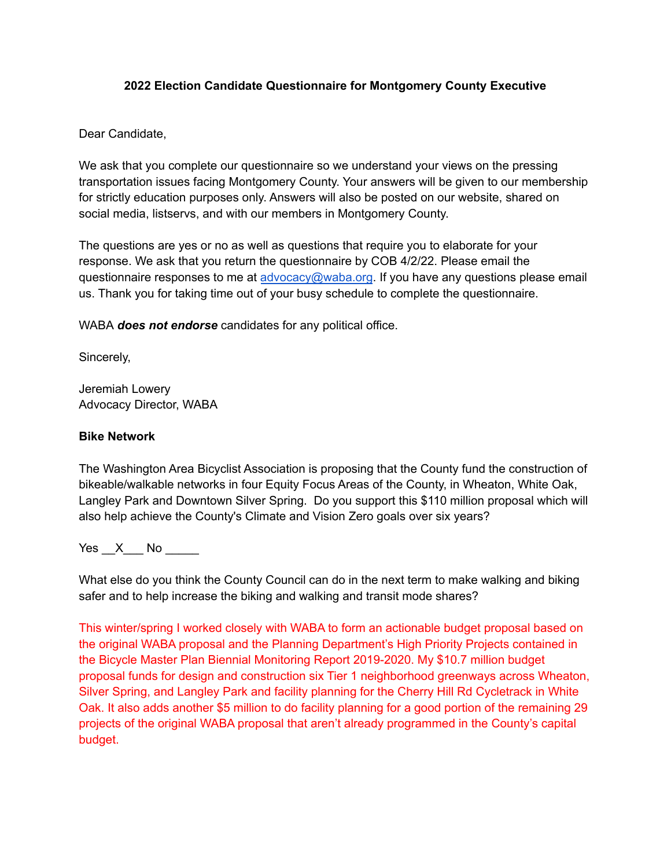# **2022 Election Candidate Questionnaire for Montgomery County Executive**

# Dear Candidate,

We ask that you complete our questionnaire so we understand your views on the pressing transportation issues facing Montgomery County. Your answers will be given to our membership for strictly education purposes only. Answers will also be posted on our website, shared on social media, listservs, and with our members in Montgomery County.

The questions are yes or no as well as questions that require you to elaborate for your response. We ask that you return the questionnaire by COB 4/2/22. Please email the questionnaire responses to me at [advocacy@waba.org](mailto:advocacy@waba.org). If you have any questions please email us. Thank you for taking time out of your busy schedule to complete the questionnaire.

WABA *does not endorse* candidates for any political office.

Sincerely,

Jeremiah Lowery Advocacy Director, WABA

# **Bike Network**

The Washington Area Bicyclist Association is proposing that the County fund the construction of bikeable/walkable networks in four Equity Focus Areas of the County, in Wheaton, White Oak, Langley Park and Downtown Silver Spring. Do you support this \$110 million proposal which will also help achieve the County's Climate and Vision Zero goals over six years?

Yes X No  $\blacksquare$ 

What else do you think the County Council can do in the next term to make walking and biking safer and to help increase the biking and walking and transit mode shares?

This winter/spring I worked closely with WABA to form an actionable budget proposal based on the original WABA proposal and the Planning Department's High Priority Projects contained in the Bicycle Master Plan Biennial Monitoring Report 2019-2020. My \$10.7 million budget proposal funds for design and construction six Tier 1 neighborhood greenways across Wheaton, Silver Spring, and Langley Park and facility planning for the Cherry Hill Rd Cycletrack in White Oak. It also adds another \$5 million to do facility planning for a good portion of the remaining 29 projects of the original WABA proposal that aren't already programmed in the County's capital budget.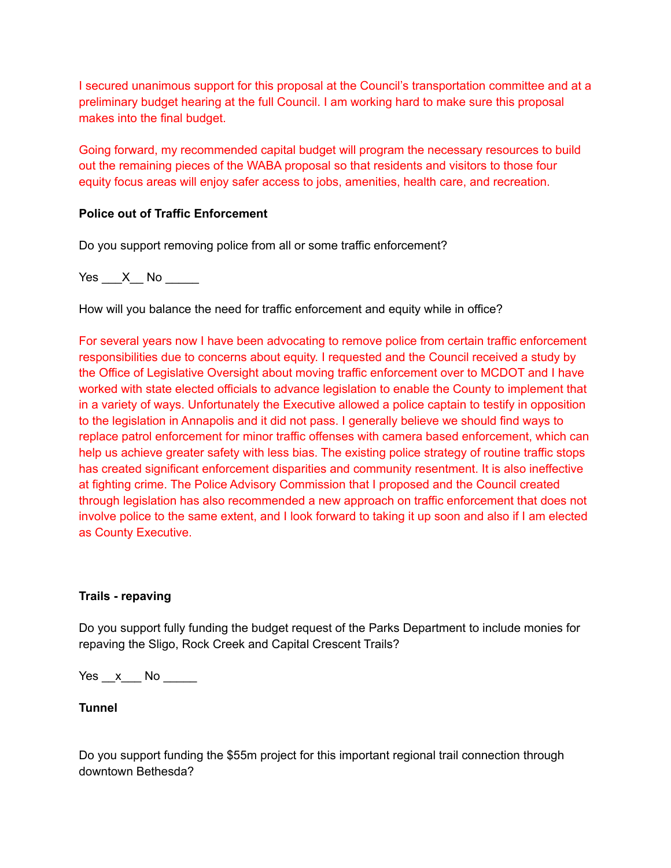I secured unanimous support for this proposal at the Council's transportation committee and at a preliminary budget hearing at the full Council. I am working hard to make sure this proposal makes into the final budget.

Going forward, my recommended capital budget will program the necessary resources to build out the remaining pieces of the WABA proposal so that residents and visitors to those four equity focus areas will enjoy safer access to jobs, amenities, health care, and recreation.

# **Police out of Traffic Enforcement**

Do you support removing police from all or some traffic enforcement?

Yes  $X$  No

How will you balance the need for traffic enforcement and equity while in office?

For several years now I have been advocating to remove police from certain traffic enforcement responsibilities due to concerns about equity. I requested and the Council received a study by the Office of Legislative Oversight about moving traffic enforcement over to MCDOT and I have worked with state elected officials to advance legislation to enable the County to implement that in a variety of ways. Unfortunately the Executive allowed a police captain to testify in opposition to the legislation in Annapolis and it did not pass. I generally believe we should find ways to replace patrol enforcement for minor traffic offenses with camera based enforcement, which can help us achieve greater safety with less bias. The existing police strategy of routine traffic stops has created significant enforcement disparities and community resentment. It is also ineffective at fighting crime. The Police Advisory Commission that I proposed and the Council created through legislation has also recommended a new approach on traffic enforcement that does not involve police to the same extent, and I look forward to taking it up soon and also if I am elected as County Executive.

### **Trails - repaving**

Do you support fully funding the budget request of the Parks Department to include monies for repaving the Sligo, Rock Creek and Capital Crescent Trails?

Yes x No  $\overline{a}$ 

## **Tunnel**

Do you support funding the \$55m project for this important regional trail connection through downtown Bethesda?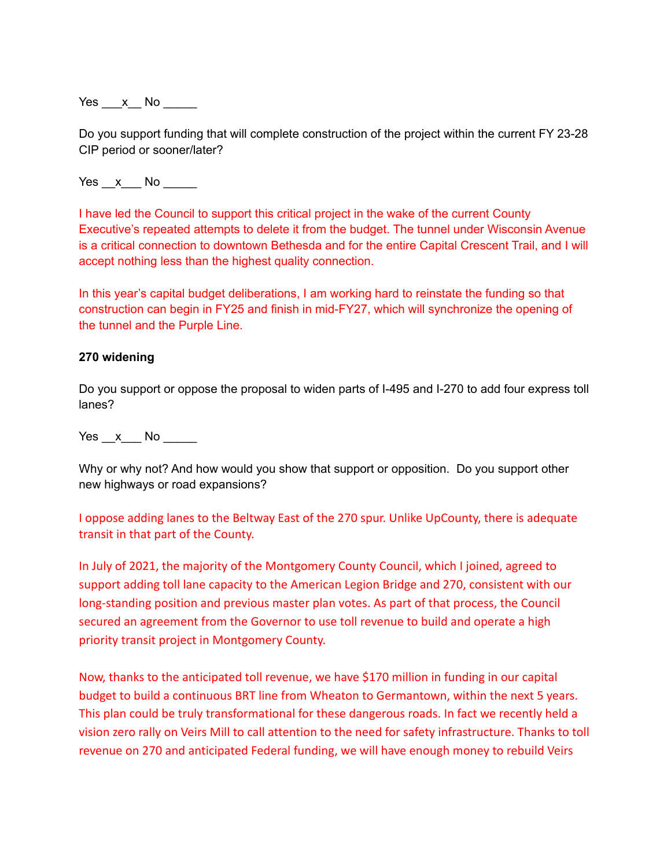Yes x No  $\blacksquare$ 

Do you support funding that will complete construction of the project within the current FY 23-28 CIP period or sooner/later?

Yes x No  $\overline{a}$ 

I have led the Council to support this critical project in the wake of the current County Executive's repeated attempts to delete it from the budget. The tunnel under Wisconsin Avenue is a critical connection to downtown Bethesda and for the entire Capital Crescent Trail, and I will accept nothing less than the highest quality connection.

In this year's capital budget deliberations, I am working hard to reinstate the funding so that construction can begin in FY25 and finish in mid-FY27, which will synchronize the opening of the tunnel and the Purple Line.

#### **270 widening**

Do you support or oppose the proposal to widen parts of I-495 and I-270 to add four express toll lanes?

Yes x No  $\overline{a}$ 

Why or why not? And how would you show that support or opposition. Do you support other new highways or road expansions?

I oppose adding lanes to the Beltway East of the 270 spur. Unlike UpCounty, there is adequate transit in that part of the County.

In July of 2021, the majority of the Montgomery County Council, which I joined, agreed to support adding toll lane capacity to the American Legion Bridge and 270, consistent with our long-standing position and previous master plan votes. As part of that process, the Council secured an agreement from the Governor to use toll revenue to build and operate a high priority transit project in Montgomery County.

Now, thanks to the anticipated toll revenue, we have \$170 million in funding in our capital budget to build a continuous BRT line from Wheaton to Germantown, within the next 5 years. This plan could be truly transformational for these dangerous roads. In fact we recently held a vision zero rally on Veirs Mill to call attention to the need for safety infrastructure. Thanks to toll revenue on 270 and anticipated Federal funding, we will have enough money to rebuild Veirs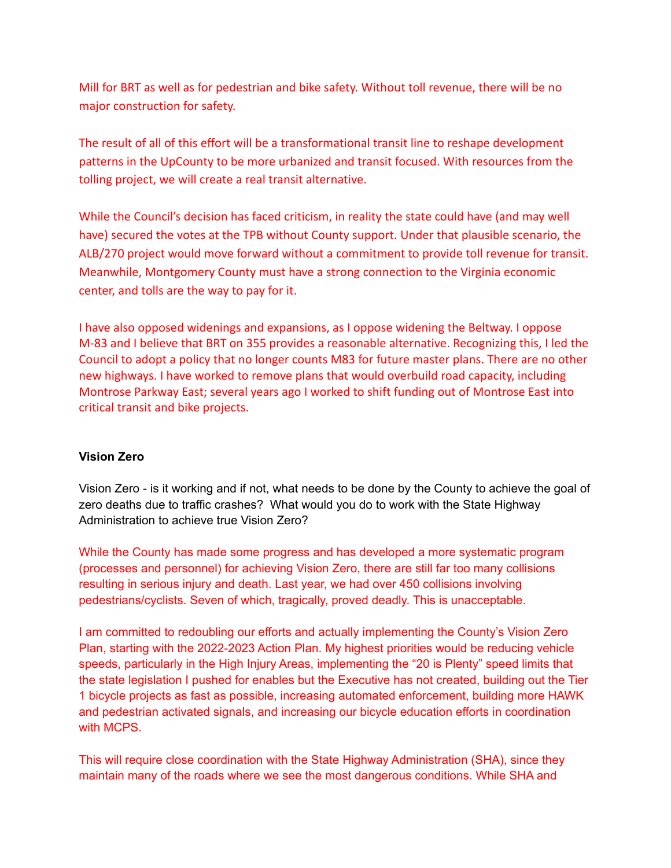Mill for BRT as well as for pedestrian and bike safety. Without toll revenue, there will be no major construction for safety.

The result of all of this effort will be a transformational transit line to reshape development patterns in the UpCounty to be more urbanized and transit focused. With resources from the tolling project, we will create a real transit alternative.

While the Council's decision has faced criticism, in reality the state could have (and may well have) secured the votes at the TPB without County support. Under that plausible scenario, the ALB/270 project would move forward without a commitment to provide toll revenue for transit. Meanwhile, Montgomery County must have a strong connection to the Virginia economic center, and tolls are the way to pay for it.

I have also opposed widenings and expansions, as I oppose widening the Beltway. I oppose M-83 and I believe that BRT on 355 provides a reasonable alternative. Recognizing this, I led the Council to adopt a policy that no longer counts M83 for future master plans. There are no other new highways. I have worked to remove plans that would overbuild road capacity, including Montrose Parkway East; several years ago I worked to shift funding out of Montrose East into critical transit and bike projects.

### **Vision Zero**

Vision Zero - is it working and if not, what needs to be done by the County to achieve the goal of zero deaths due to traffic crashes? What would you do to work with the State Highway Administration to achieve true Vision Zero?

While the County has made some progress and has developed a more systematic program (processes and personnel) for achieving Vision Zero, there are still far too many collisions resulting in serious injury and death. Last year, we had over 450 collisions involving pedestrians/cyclists. Seven of which, tragically, proved deadly. This is unacceptable.

I am committed to redoubling our efforts and actually implementing the County's Vision Zero Plan, starting with the 2022-2023 Action Plan. My highest priorities would be reducing vehicle speeds, particularly in the High Injury Areas, implementing the "20 is Plenty" speed limits that the state legislation I pushed for enables but the Executive has not created, building out the Tier 1 bicycle projects as fast as possible, increasing automated enforcement, building more HAWK and pedestrian activated signals, and increasing our bicycle education efforts in coordination with MCPS.

This will require close coordination with the State Highway Administration (SHA), since they maintain many of the roads where we see the most dangerous conditions. While SHA and